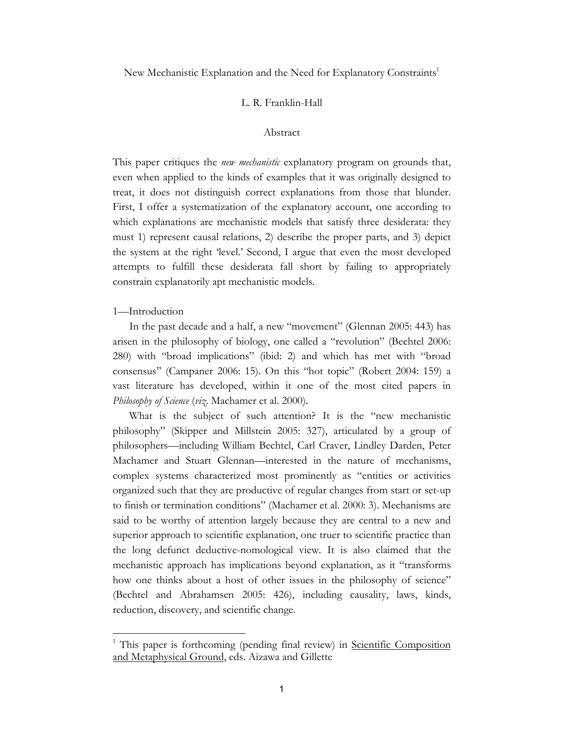New Mechanistic Explanation and the Need for Explanatory Constraints<sup>1</sup>

#### L. R. Franklin-Hall

#### Abstract

This paper critiques the *new mechanistic* explanatory program on grounds that, even when applied to the kinds of examples that it was originally designed to treat, it does not distinguish correct explanations from those that blunder. First, I offer a systematization of the explanatory account, one according to which explanations are mechanistic models that satisfy three desiderata: they must 1) represent causal relations, 2) describe the proper parts, and 3) depict the system at the right 'level.' Second, I argue that even the most developed attempts to fulfill these desiderata fall short by failing to appropriately constrain explanatorily apt mechanistic models.

## 1—Introduction

<u> 1989 - Jan Stein Stein, fransk politiker (d. 1989)</u>

In the past decade and a half, a new "movement" (Glennan 2005: 443) has arisen in the philosophy of biology, one called a "revolution" (Bechtel 2006: 280) with "broad implications" (ibid: 2) and which has met with "broad consensus" (Campaner 2006: 15). On this "hot topic" (Robert 2004: 159) a vast literature has developed, within it one of the most cited papers in *Philosophy of Science* (*viz*. Machamer et al. 2000)*.*

What is the subject of such attention? It is the "new mechanistic philosophy" (Skipper and Millstein 2005: 327), articulated by a group of philosophers—including William Bechtel, Carl Craver, Lindley Darden, Peter Machamer and Stuart Glennan—interested in the nature of mechanisms, complex systems characterized most prominently as "entities or activities organized such that they are productive of regular changes from start or set-up to finish or termination conditions" (Machamer et al. 2000: 3). Mechanisms are said to be worthy of attention largely because they are central to a new and superior approach to scientific explanation, one truer to scientific practice than the long defunct deductive-nomological view. It is also claimed that the mechanistic approach has implications beyond explanation, as it "transforms how one thinks about a host of other issues in the philosophy of science" (Bechtel and Abrahamsen 2005: 426), including causality, laws, kinds, reduction, discovery, and scientific change.

<sup>&</sup>lt;sup>1</sup> This paper is forthcoming (pending final review) in Scientific Composition and Metaphysical Ground, eds. Aizawa and Gillette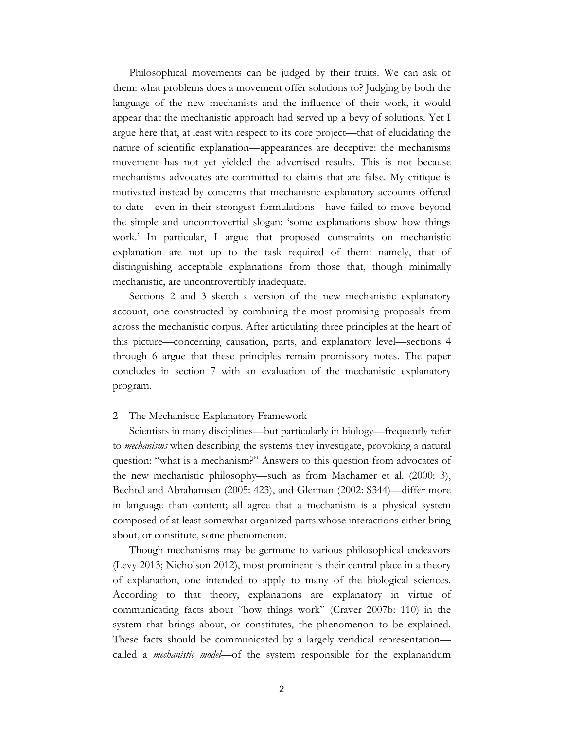Philosophical movements can be judged by their fruits. We can ask of them: what problems does a movement offer solutions to? Judging by both the language of the new mechanists and the influence of their work, it would appear that the mechanistic approach had served up a bevy of solutions. Yet I argue here that, at least with respect to its core project—that of elucidating the nature of scientific explanation—appearances are deceptive: the mechanisms movement has not yet yielded the advertised results. This is not because mechanisms advocates are committed to claims that are false. My critique is motivated instead by concerns that mechanistic explanatory accounts offered to date—even in their strongest formulations—have failed to move beyond the simple and uncontrovertial slogan: 'some explanations show how things work.' In particular, I argue that proposed constraints on mechanistic explanation are not up to the task required of them: namely, that of distinguishing acceptable explanations from those that, though minimally mechanistic, are uncontrovertibly inadequate.

Sections 2 and 3 sketch a version of the new mechanistic explanatory account, one constructed by combining the most promising proposals from across the mechanistic corpus. After articulating three principles at the heart of this picture—concerning causation, parts, and explanatory level—sections 4 through 6 argue that these principles remain promissory notes. The paper concludes in section 7 with an evaluation of the mechanistic explanatory program.

#### 2—The Mechanistic Explanatory Framework

Scientists in many disciplines—but particularly in biology—frequently refer to *mechanisms* when describing the systems they investigate, provoking a natural question: "what is a mechanism?" Answers to this question from advocates of the new mechanistic philosophy—such as from Machamer et al. (2000: 3), Bechtel and Abrahamsen (2005: 423), and Glennan (2002: S344)—differ more in language than content; all agree that a mechanism is a physical system composed of at least somewhat organized parts whose interactions either bring about, or constitute, some phenomenon.

Though mechanisms may be germane to various philosophical endeavors (Levy 2013; Nicholson 2012), most prominent is their central place in a theory of explanation, one intended to apply to many of the biological sciences. According to that theory, explanations are explanatory in virtue of communicating facts about "how things work" (Craver 2007b: 110) in the system that brings about, or constitutes, the phenomenon to be explained. These facts should be communicated by a largely veridical representation called a *mechanistic model*—of the system responsible for the explanandum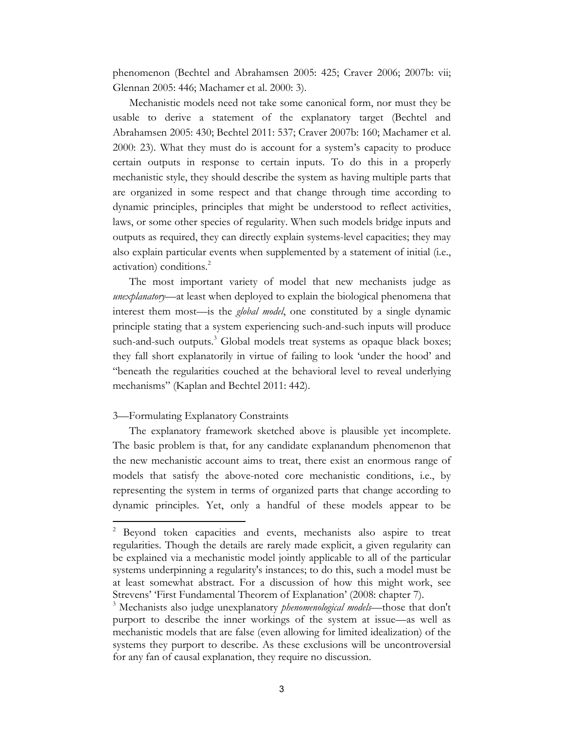phenomenon (Bechtel and Abrahamsen 2005: 425; Craver 2006; 2007b: vii; Glennan 2005: 446; Machamer et al. 2000: 3).

Mechanistic models need not take some canonical form, nor must they be usable to derive a statement of the explanatory target (Bechtel and Abrahamsen 2005: 430; Bechtel 2011: 537; Craver 2007b: 160; Machamer et al. 2000: 23). What they must do is account for a system's capacity to produce certain outputs in response to certain inputs. To do this in a properly mechanistic style, they should describe the system as having multiple parts that are organized in some respect and that change through time according to dynamic principles, principles that might be understood to reflect activities, laws, or some other species of regularity. When such models bridge inputs and outputs as required, they can directly explain systems-level capacities; they may also explain particular events when supplemented by a statement of initial (i.e., activation) conditions.2

The most important variety of model that new mechanists judge as *unexplanatory*—at least when deployed to explain the biological phenomena that interest them most—is the *global model*, one constituted by a single dynamic principle stating that a system experiencing such-and-such inputs will produce such-and-such outputs.<sup>3</sup> Global models treat systems as opaque black boxes; they fall short explanatorily in virtue of failing to look 'under the hood' and "beneath the regularities couched at the behavioral level to reveal underlying mechanisms" (Kaplan and Bechtel 2011: 442).

# 3—Formulating Explanatory Constraints

<u> 1989 - Jan Stein Stein, fransk politiker (d. 1989)</u>

The explanatory framework sketched above is plausible yet incomplete. The basic problem is that, for any candidate explanandum phenomenon that the new mechanistic account aims to treat, there exist an enormous range of models that satisfy the above-noted core mechanistic conditions, i.e., by representing the system in terms of organized parts that change according to dynamic principles. Yet, only a handful of these models appear to be

<sup>&</sup>lt;sup>2</sup> Beyond token capacities and events, mechanists also aspire to treat regularities. Though the details are rarely made explicit, a given regularity can be explained via a mechanistic model jointly applicable to all of the particular systems underpinning a regularity's instances; to do this, such a model must be at least somewhat abstract. For a discussion of how this might work, see Strevens' 'First Fundamental Theorem of Explanation' (2008: chapter 7).

<sup>3</sup> Mechanists also judge unexplanatory *phenomenological models*—those that don't purport to describe the inner workings of the system at issue—as well as mechanistic models that are false (even allowing for limited idealization) of the systems they purport to describe. As these exclusions will be uncontroversial for any fan of causal explanation, they require no discussion.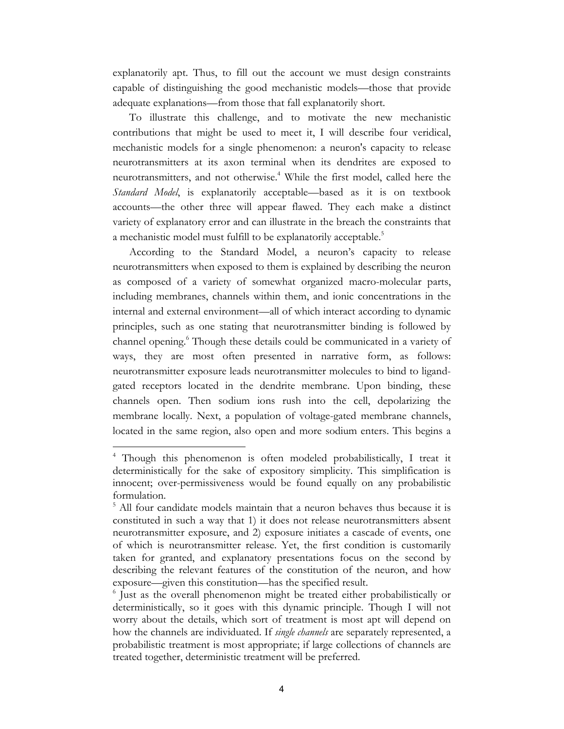explanatorily apt. Thus, to fill out the account we must design constraints capable of distinguishing the good mechanistic models—those that provide adequate explanations—from those that fall explanatorily short.

To illustrate this challenge, and to motivate the new mechanistic contributions that might be used to meet it, I will describe four veridical, mechanistic models for a single phenomenon: a neuron's capacity to release neurotransmitters at its axon terminal when its dendrites are exposed to neurotransmitters, and not otherwise. <sup>4</sup> While the first model, called here the *Standard Model*, is explanatorily acceptable—based as it is on textbook accounts—the other three will appear flawed. They each make a distinct variety of explanatory error and can illustrate in the breach the constraints that a mechanistic model must fulfill to be explanatorily acceptable.<sup>5</sup>

According to the Standard Model, a neuron's capacity to release neurotransmitters when exposed to them is explained by describing the neuron as composed of a variety of somewhat organized macro-molecular parts, including membranes, channels within them, and ionic concentrations in the internal and external environment—all of which interact according to dynamic principles, such as one stating that neurotransmitter binding is followed by channel opening. <sup>6</sup> Though these details could be communicated in a variety of ways, they are most often presented in narrative form, as follows: neurotransmitter exposure leads neurotransmitter molecules to bind to ligandgated receptors located in the dendrite membrane. Upon binding, these channels open. Then sodium ions rush into the cell, depolarizing the membrane locally. Next, a population of voltage-gated membrane channels, located in the same region, also open and more sodium enters. This begins a

<sup>4</sup> Though this phenomenon is often modeled probabilistically, I treat it deterministically for the sake of expository simplicity. This simplification is innocent; over-permissiveness would be found equally on any probabilistic formulation.

 $<sup>5</sup>$  All four candidate models maintain that a neuron behaves thus because it is</sup> constituted in such a way that 1) it does not release neurotransmitters absent neurotransmitter exposure, and 2) exposure initiates a cascade of events, one of which is neurotransmitter release. Yet, the first condition is customarily taken for granted, and explanatory presentations focus on the second by describing the relevant features of the constitution of the neuron, and how exposure—given this constitution—has the specified result.

<sup>6</sup> Just as the overall phenomenon might be treated either probabilistically or deterministically, so it goes with this dynamic principle. Though I will not worry about the details, which sort of treatment is most apt will depend on how the channels are individuated. If *single channels* are separately represented, a probabilistic treatment is most appropriate; if large collections of channels are treated together, deterministic treatment will be preferred.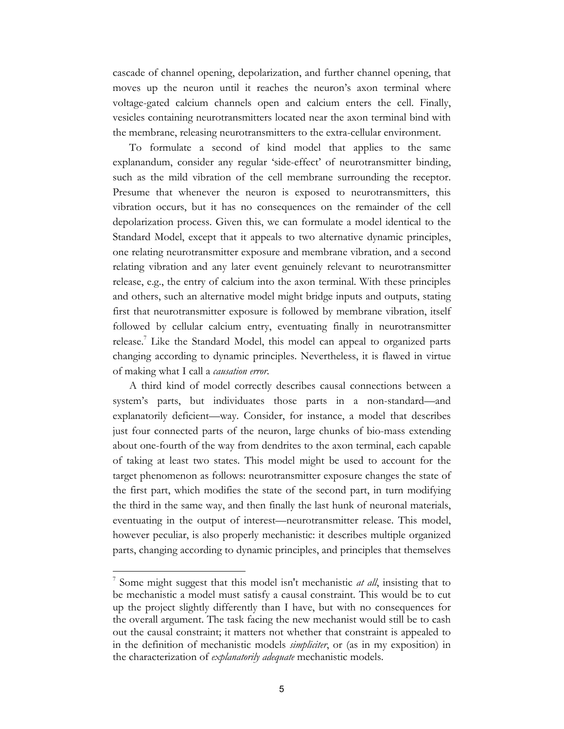cascade of channel opening, depolarization, and further channel opening, that moves up the neuron until it reaches the neuron's axon terminal where voltage-gated calcium channels open and calcium enters the cell. Finally, vesicles containing neurotransmitters located near the axon terminal bind with the membrane, releasing neurotransmitters to the extra-cellular environment.

To formulate a second of kind model that applies to the same explanandum, consider any regular 'side-effect' of neurotransmitter binding, such as the mild vibration of the cell membrane surrounding the receptor. Presume that whenever the neuron is exposed to neurotransmitters, this vibration occurs, but it has no consequences on the remainder of the cell depolarization process. Given this, we can formulate a model identical to the Standard Model, except that it appeals to two alternative dynamic principles, one relating neurotransmitter exposure and membrane vibration, and a second relating vibration and any later event genuinely relevant to neurotransmitter release, e.g., the entry of calcium into the axon terminal. With these principles and others, such an alternative model might bridge inputs and outputs, stating first that neurotransmitter exposure is followed by membrane vibration, itself followed by cellular calcium entry, eventuating finally in neurotransmitter release.<sup>7</sup> Like the Standard Model, this model can appeal to organized parts changing according to dynamic principles. Nevertheless, it is flawed in virtue of making what I call a *causation error*.

A third kind of model correctly describes causal connections between a system's parts, but individuates those parts in a non-standard—and explanatorily deficient—way. Consider, for instance, a model that describes just four connected parts of the neuron, large chunks of bio-mass extending about one-fourth of the way from dendrites to the axon terminal, each capable of taking at least two states. This model might be used to account for the target phenomenon as follows: neurotransmitter exposure changes the state of the first part, which modifies the state of the second part, in turn modifying the third in the same way, and then finally the last hunk of neuronal materials, eventuating in the output of interest—neurotransmitter release. This model, however peculiar, is also properly mechanistic: it describes multiple organized parts, changing according to dynamic principles, and principles that themselves

<sup>7</sup> Some might suggest that this model isn't mechanistic *at all*, insisting that to be mechanistic a model must satisfy a causal constraint. This would be to cut up the project slightly differently than I have, but with no consequences for the overall argument. The task facing the new mechanist would still be to cash out the causal constraint; it matters not whether that constraint is appealed to in the definition of mechanistic models *simpliciter*, or (as in my exposition) in the characterization of *explanatorily adequate* mechanistic models.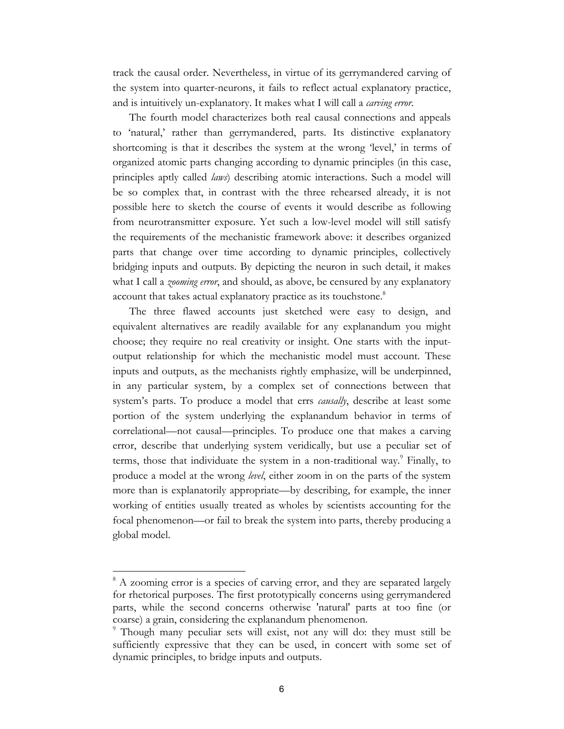track the causal order. Nevertheless, in virtue of its gerrymandered carving of the system into quarter-neurons, it fails to reflect actual explanatory practice, and is intuitively un-explanatory. It makes what I will call a *carving error*.

The fourth model characterizes both real causal connections and appeals to 'natural,' rather than gerrymandered, parts. Its distinctive explanatory shortcoming is that it describes the system at the wrong 'level,' in terms of organized atomic parts changing according to dynamic principles (in this case, principles aptly called *laws*) describing atomic interactions. Such a model will be so complex that, in contrast with the three rehearsed already, it is not possible here to sketch the course of events it would describe as following from neurotransmitter exposure. Yet such a low-level model will still satisfy the requirements of the mechanistic framework above: it describes organized parts that change over time according to dynamic principles, collectively bridging inputs and outputs. By depicting the neuron in such detail, it makes what I call a *zooming error*, and should, as above, be censured by any explanatory account that takes actual explanatory practice as its touchstone.<sup>8</sup>

The three flawed accounts just sketched were easy to design, and equivalent alternatives are readily available for any explanandum you might choose; they require no real creativity or insight. One starts with the inputoutput relationship for which the mechanistic model must account. These inputs and outputs, as the mechanists rightly emphasize, will be underpinned, in any particular system, by a complex set of connections between that system's parts. To produce a model that errs *causally*, describe at least some portion of the system underlying the explanandum behavior in terms of correlational—not causal—principles. To produce one that makes a carving error, describe that underlying system veridically, but use a peculiar set of terms, those that individuate the system in a non-traditional way.<sup>9</sup> Finally, to produce a model at the wrong *level*, either zoom in on the parts of the system more than is explanatorily appropriate—by describing, for example, the inner working of entities usually treated as wholes by scientists accounting for the focal phenomenon—or fail to break the system into parts, thereby producing a global model.

<sup>&</sup>lt;sup>8</sup> A zooming error is a species of carving error, and they are separated largely for rhetorical purposes. The first prototypically concerns using gerrymandered parts, while the second concerns otherwise 'natural' parts at too fine (or coarse) a grain, considering the explanandum phenomenon.

<sup>9</sup> Though many peculiar sets will exist, not any will do: they must still be sufficiently expressive that they can be used, in concert with some set of dynamic principles, to bridge inputs and outputs.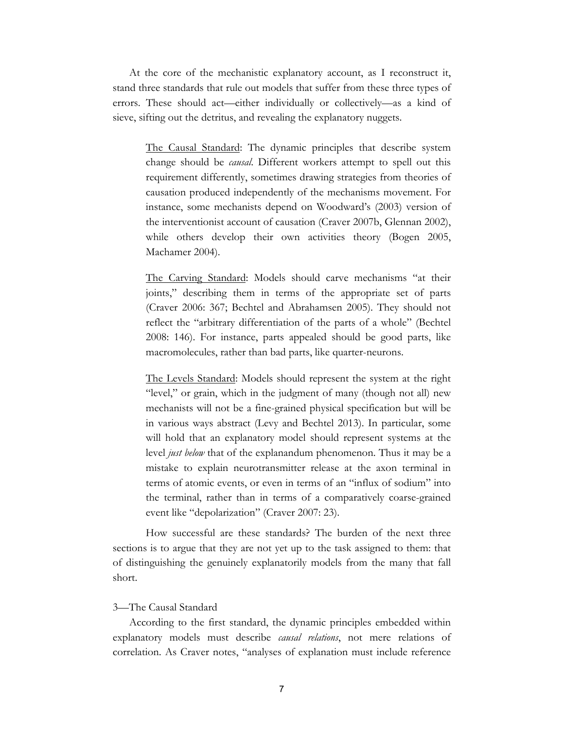At the core of the mechanistic explanatory account, as I reconstruct it, stand three standards that rule out models that suffer from these three types of errors. These should act—either individually or collectively—as a kind of sieve, sifting out the detritus, and revealing the explanatory nuggets.

The Causal Standard: The dynamic principles that describe system change should be *causal*. Different workers attempt to spell out this requirement differently, sometimes drawing strategies from theories of causation produced independently of the mechanisms movement. For instance, some mechanists depend on Woodward's (2003) version of the interventionist account of causation (Craver 2007b, Glennan 2002), while others develop their own activities theory (Bogen 2005, Machamer 2004).

The Carving Standard: Models should carve mechanisms "at their joints," describing them in terms of the appropriate set of parts (Craver 2006: 367; Bechtel and Abrahamsen 2005). They should not reflect the "arbitrary differentiation of the parts of a whole" (Bechtel 2008: 146). For instance, parts appealed should be good parts, like macromolecules, rather than bad parts, like quarter-neurons.

The Levels Standard: Models should represent the system at the right "level," or grain, which in the judgment of many (though not all) new mechanists will not be a fine-grained physical specification but will be in various ways abstract (Levy and Bechtel 2013). In particular, some will hold that an explanatory model should represent systems at the level *just below* that of the explanandum phenomenon. Thus it may be a mistake to explain neurotransmitter release at the axon terminal in terms of atomic events, or even in terms of an "influx of sodium" into the terminal, rather than in terms of a comparatively coarse-grained event like "depolarization" (Craver 2007: 23).

How successful are these standards? The burden of the next three sections is to argue that they are not yet up to the task assigned to them: that of distinguishing the genuinely explanatorily models from the many that fall short.

## 3—The Causal Standard

According to the first standard, the dynamic principles embedded within explanatory models must describe *causal relations*, not mere relations of correlation. As Craver notes, "analyses of explanation must include reference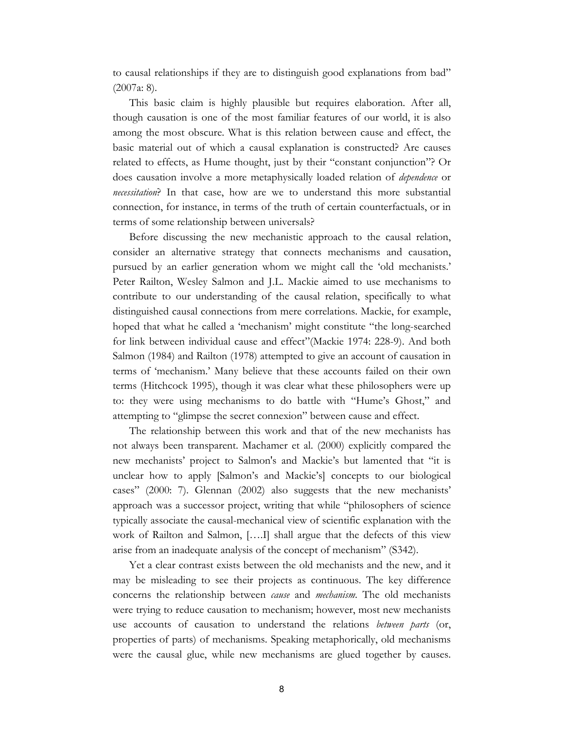to causal relationships if they are to distinguish good explanations from bad" (2007a: 8).

This basic claim is highly plausible but requires elaboration. After all, though causation is one of the most familiar features of our world, it is also among the most obscure. What is this relation between cause and effect, the basic material out of which a causal explanation is constructed? Are causes related to effects, as Hume thought, just by their "constant conjunction"? Or does causation involve a more metaphysically loaded relation of *dependence* or *necessitation*? In that case, how are we to understand this more substantial connection, for instance, in terms of the truth of certain counterfactuals, or in terms of some relationship between universals?

Before discussing the new mechanistic approach to the causal relation, consider an alternative strategy that connects mechanisms and causation, pursued by an earlier generation whom we might call the 'old mechanists.' Peter Railton, Wesley Salmon and J.L. Mackie aimed to use mechanisms to contribute to our understanding of the causal relation, specifically to what distinguished causal connections from mere correlations. Mackie, for example, hoped that what he called a 'mechanism' might constitute "the long-searched for link between individual cause and effect"(Mackie 1974: 228-9). And both Salmon (1984) and Railton (1978) attempted to give an account of causation in terms of 'mechanism.' Many believe that these accounts failed on their own terms (Hitchcock 1995), though it was clear what these philosophers were up to: they were using mechanisms to do battle with "Hume's Ghost," and attempting to "glimpse the secret connexion" between cause and effect.

The relationship between this work and that of the new mechanists has not always been transparent. Machamer et al. (2000) explicitly compared the new mechanists' project to Salmon's and Mackie's but lamented that "it is unclear how to apply [Salmon's and Mackie's] concepts to our biological cases" (2000: 7). Glennan (2002) also suggests that the new mechanists' approach was a successor project, writing that while "philosophers of science typically associate the causal-mechanical view of scientific explanation with the work of Railton and Salmon, [….I] shall argue that the defects of this view arise from an inadequate analysis of the concept of mechanism" (S342).

Yet a clear contrast exists between the old mechanists and the new, and it may be misleading to see their projects as continuous. The key difference concerns the relationship between *cause* and *mechanism*. The old mechanists were trying to reduce causation to mechanism; however, most new mechanists use accounts of causation to understand the relations *between parts* (or, properties of parts) of mechanisms. Speaking metaphorically, old mechanisms were the causal glue, while new mechanisms are glued together by causes.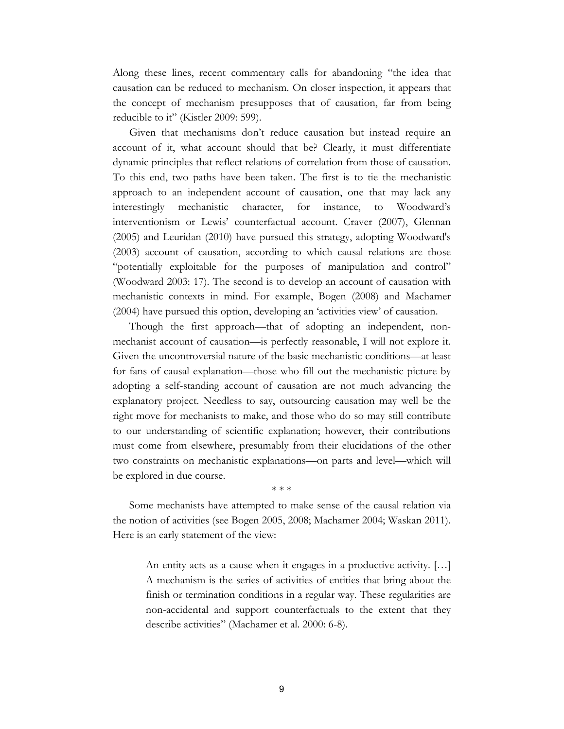Along these lines, recent commentary calls for abandoning "the idea that causation can be reduced to mechanism. On closer inspection, it appears that the concept of mechanism presupposes that of causation, far from being reducible to it" (Kistler 2009: 599).

Given that mechanisms don't reduce causation but instead require an account of it, what account should that be? Clearly, it must differentiate dynamic principles that reflect relations of correlation from those of causation. To this end, two paths have been taken. The first is to tie the mechanistic approach to an independent account of causation, one that may lack any interestingly mechanistic character, for instance, to Woodward's interventionism or Lewis' counterfactual account. Craver (2007), Glennan (2005) and Leuridan (2010) have pursued this strategy, adopting Woodward's (2003) account of causation, according to which causal relations are those "potentially exploitable for the purposes of manipulation and control" (Woodward 2003: 17). The second is to develop an account of causation with mechanistic contexts in mind. For example, Bogen (2008) and Machamer (2004) have pursued this option, developing an 'activities view' of causation.

Though the first approach—that of adopting an independent, nonmechanist account of causation—is perfectly reasonable, I will not explore it. Given the uncontroversial nature of the basic mechanistic conditions—at least for fans of causal explanation—those who fill out the mechanistic picture by adopting a self-standing account of causation are not much advancing the explanatory project. Needless to say, outsourcing causation may well be the right move for mechanists to make, and those who do so may still contribute to our understanding of scientific explanation; however, their contributions must come from elsewhere, presumably from their elucidations of the other two constraints on mechanistic explanations—on parts and level—which will be explored in due course.

Some mechanists have attempted to make sense of the causal relation via the notion of activities (see Bogen 2005, 2008; Machamer 2004; Waskan 2011). Here is an early statement of the view:

\* \* \*

An entity acts as a cause when it engages in a productive activity. […] A mechanism is the series of activities of entities that bring about the finish or termination conditions in a regular way. These regularities are non-accidental and support counterfactuals to the extent that they describe activities" (Machamer et al. 2000: 6-8).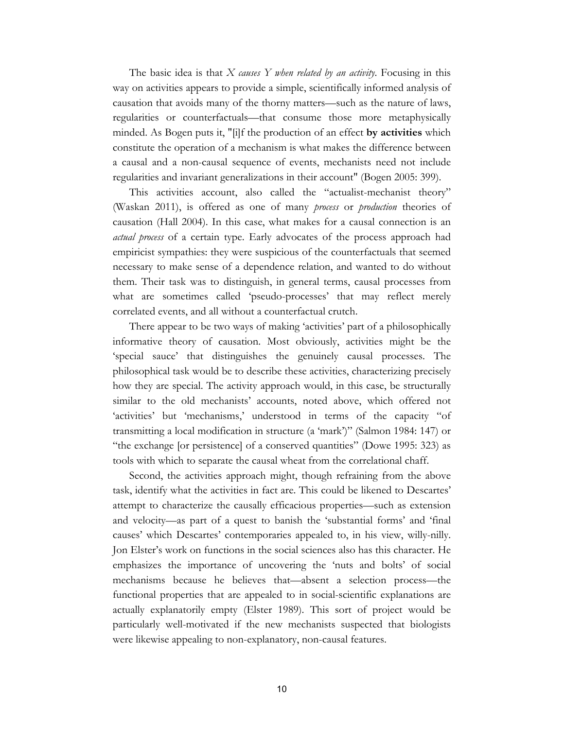The basic idea is that *X causes Y when related by an activity*. Focusing in this way on activities appears to provide a simple, scientifically informed analysis of causation that avoids many of the thorny matters—such as the nature of laws, regularities or counterfactuals—that consume those more metaphysically minded. As Bogen puts it, "[i]f the production of an effect **by activities** which constitute the operation of a mechanism is what makes the difference between a causal and a non-causal sequence of events, mechanists need not include regularities and invariant generalizations in their account" (Bogen 2005: 399).

This activities account, also called the "actualist-mechanist theory" (Waskan 2011), is offered as one of many *process* or *production* theories of causation (Hall 2004). In this case, what makes for a causal connection is an *actual process* of a certain type. Early advocates of the process approach had empiricist sympathies: they were suspicious of the counterfactuals that seemed necessary to make sense of a dependence relation, and wanted to do without them. Their task was to distinguish, in general terms, causal processes from what are sometimes called 'pseudo-processes' that may reflect merely correlated events, and all without a counterfactual crutch.

There appear to be two ways of making 'activities' part of a philosophically informative theory of causation. Most obviously, activities might be the 'special sauce' that distinguishes the genuinely causal processes. The philosophical task would be to describe these activities, characterizing precisely how they are special. The activity approach would, in this case, be structurally similar to the old mechanists' accounts, noted above, which offered not 'activities' but 'mechanisms,' understood in terms of the capacity "of transmitting a local modification in structure (a 'mark')" (Salmon 1984: 147) or "the exchange [or persistence] of a conserved quantities" (Dowe 1995: 323) as tools with which to separate the causal wheat from the correlational chaff.

Second, the activities approach might, though refraining from the above task, identify what the activities in fact are. This could be likened to Descartes' attempt to characterize the causally efficacious properties—such as extension and velocity—as part of a quest to banish the 'substantial forms' and 'final causes' which Descartes' contemporaries appealed to, in his view, willy-nilly. Jon Elster's work on functions in the social sciences also has this character. He emphasizes the importance of uncovering the 'nuts and bolts' of social mechanisms because he believes that—absent a selection process—the functional properties that are appealed to in social-scientific explanations are actually explanatorily empty (Elster 1989). This sort of project would be particularly well-motivated if the new mechanists suspected that biologists were likewise appealing to non-explanatory, non-causal features.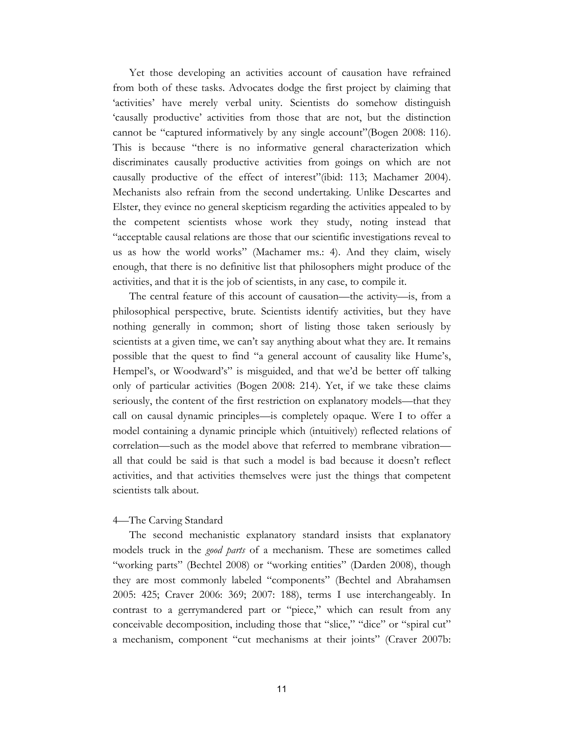Yet those developing an activities account of causation have refrained from both of these tasks. Advocates dodge the first project by claiming that 'activities' have merely verbal unity. Scientists do somehow distinguish 'causally productive' activities from those that are not, but the distinction cannot be "captured informatively by any single account"(Bogen 2008: 116). This is because "there is no informative general characterization which discriminates causally productive activities from goings on which are not causally productive of the effect of interest"(ibid: 113; Machamer 2004). Mechanists also refrain from the second undertaking. Unlike Descartes and Elster, they evince no general skepticism regarding the activities appealed to by the competent scientists whose work they study, noting instead that "acceptable causal relations are those that our scientific investigations reveal to us as how the world works" (Machamer ms.: 4). And they claim, wisely enough, that there is no definitive list that philosophers might produce of the activities, and that it is the job of scientists, in any case, to compile it.

The central feature of this account of causation—the activity—is, from a philosophical perspective, brute. Scientists identify activities, but they have nothing generally in common; short of listing those taken seriously by scientists at a given time, we can't say anything about what they are. It remains possible that the quest to find "a general account of causality like Hume's, Hempel's, or Woodward's" is misguided, and that we'd be better off talking only of particular activities (Bogen 2008: 214). Yet, if we take these claims seriously, the content of the first restriction on explanatory models—that they call on causal dynamic principles—is completely opaque. Were I to offer a model containing a dynamic principle which (intuitively) reflected relations of correlation—such as the model above that referred to membrane vibration all that could be said is that such a model is bad because it doesn't reflect activities, and that activities themselves were just the things that competent scientists talk about.

## 4—The Carving Standard

The second mechanistic explanatory standard insists that explanatory models truck in the *good parts* of a mechanism. These are sometimes called "working parts" (Bechtel 2008) or "working entities" (Darden 2008), though they are most commonly labeled "components" (Bechtel and Abrahamsen 2005: 425; Craver 2006: 369; 2007: 188), terms I use interchangeably. In contrast to a gerrymandered part or "piece," which can result from any conceivable decomposition, including those that "slice," "dice" or "spiral cut" a mechanism, component "cut mechanisms at their joints" (Craver 2007b: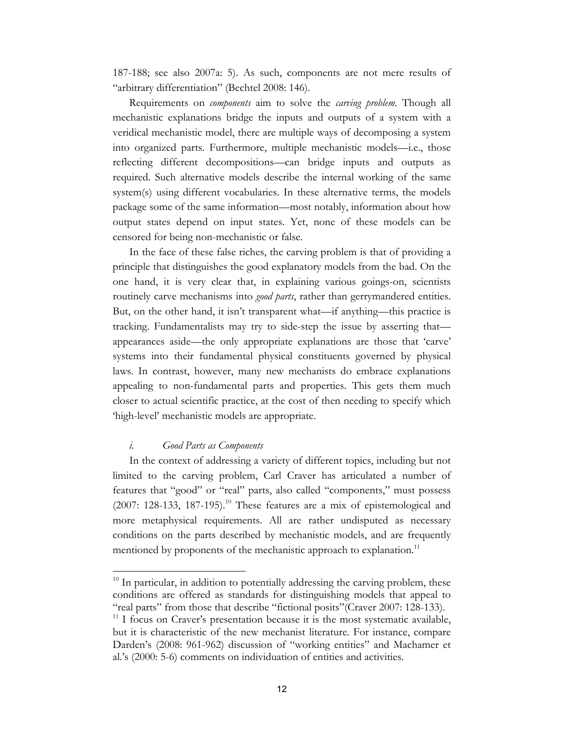187-188; see also 2007a: 5). As such, components are not mere results of "arbitrary differentiation" (Bechtel 2008: 146).

Requirements on *components* aim to solve the *carving problem*. Though all mechanistic explanations bridge the inputs and outputs of a system with a veridical mechanistic model, there are multiple ways of decomposing a system into organized parts. Furthermore, multiple mechanistic models—i.e., those reflecting different decompositions—can bridge inputs and outputs as required. Such alternative models describe the internal working of the same system(s) using different vocabularies. In these alternative terms, the models package some of the same information—most notably, information about how output states depend on input states. Yet, none of these models can be censored for being non-mechanistic or false.

In the face of these false riches, the carving problem is that of providing a principle that distinguishes the good explanatory models from the bad. On the one hand, it is very clear that, in explaining various goings-on, scientists routinely carve mechanisms into *good parts*, rather than gerrymandered entities. But, on the other hand, it isn't transparent what—if anything—this practice is tracking. Fundamentalists may try to side-step the issue by asserting that appearances aside—the only appropriate explanations are those that 'carve' systems into their fundamental physical constituents governed by physical laws. In contrast, however, many new mechanists do embrace explanations appealing to non-fundamental parts and properties. This gets them much closer to actual scientific practice, at the cost of then needing to specify which 'high-level' mechanistic models are appropriate.

## *i. Good Parts as Components*

<u> 1989 - Jan Stein Stein, fransk politiker (d. 1989)</u>

In the context of addressing a variety of different topics, including but not limited to the carving problem, Carl Craver has articulated a number of features that "good" or "real" parts, also called "components," must possess (2007: 128-133, 187-195). <sup>10</sup> These features are a mix of epistemological and more metaphysical requirements. All are rather undisputed as necessary conditions on the parts described by mechanistic models, and are frequently mentioned by proponents of the mechanistic approach to explanation.<sup>11</sup>

 $10$  In particular, in addition to potentially addressing the carving problem, these conditions are offered as standards for distinguishing models that appeal to "real parts" from those that describe "fictional posits" (Craver 2007: 128-133).

 $11$  I focus on Craver's presentation because it is the most systematic available, but it is characteristic of the new mechanist literature. For instance, compare Darden's (2008: 961-962) discussion of "working entities" and Machamer et al.'s (2000: 5-6) comments on individuation of entities and activities.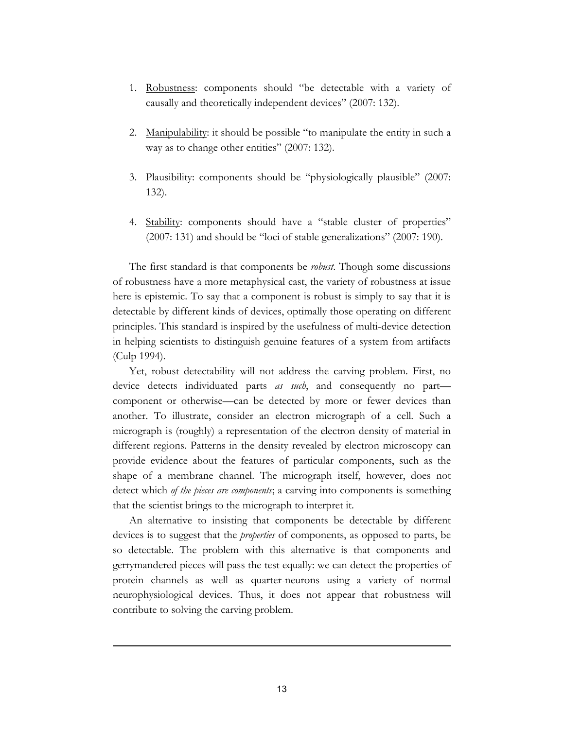- 1. Robustness: components should "be detectable with a variety of causally and theoretically independent devices" (2007: 132).
- 2. Manipulability: it should be possible "to manipulate the entity in such a way as to change other entities" (2007: 132).
- 3. Plausibility: components should be "physiologically plausible" (2007: 132).
- 4. Stability: components should have a "stable cluster of properties" (2007: 131) and should be "loci of stable generalizations" (2007: 190).

The first standard is that components be *robust*. Though some discussions of robustness have a more metaphysical cast, the variety of robustness at issue here is epistemic. To say that a component is robust is simply to say that it is detectable by different kinds of devices, optimally those operating on different principles. This standard is inspired by the usefulness of multi-device detection in helping scientists to distinguish genuine features of a system from artifacts (Culp 1994).

Yet, robust detectability will not address the carving problem. First, no device detects individuated parts *as such*, and consequently no part component or otherwise—can be detected by more or fewer devices than another. To illustrate, consider an electron micrograph of a cell. Such a micrograph is (roughly) a representation of the electron density of material in different regions. Patterns in the density revealed by electron microscopy can provide evidence about the features of particular components, such as the shape of a membrane channel. The micrograph itself, however, does not detect which *of the pieces are components*; a carving into components is something that the scientist brings to the micrograph to interpret it.

An alternative to insisting that components be detectable by different devices is to suggest that the *properties* of components, as opposed to parts, be so detectable. The problem with this alternative is that components and gerrymandered pieces will pass the test equally: we can detect the properties of protein channels as well as quarter-neurons using a variety of normal neurophysiological devices. Thus, it does not appear that robustness will contribute to solving the carving problem.

<u> 1989 - Andrea San Andrew Maria (h. 1989).</u>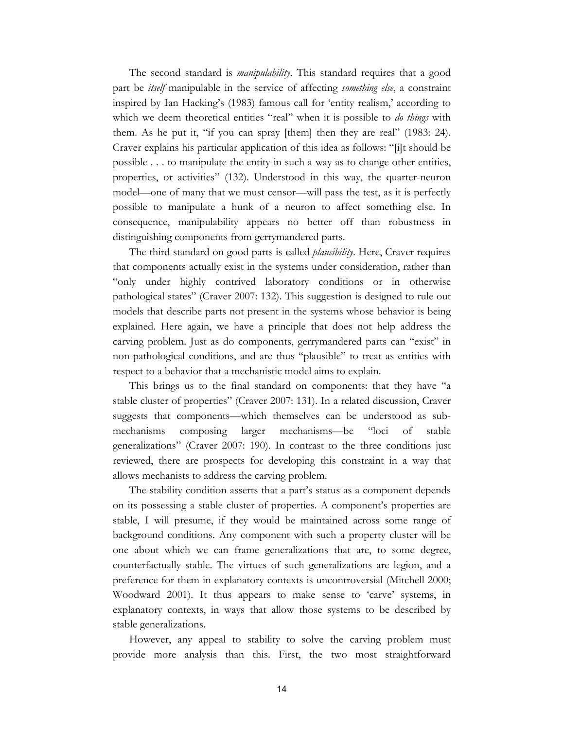The second standard is *manipulability*. This standard requires that a good part be *itself* manipulable in the service of affecting *something else*, a constraint inspired by Ian Hacking's (1983) famous call for 'entity realism,' according to which we deem theoretical entities "real" when it is possible to *do things* with them. As he put it, "if you can spray [them] then they are real" (1983: 24). Craver explains his particular application of this idea as follows: "[i]t should be possible . . . to manipulate the entity in such a way as to change other entities, properties, or activities" (132). Understood in this way, the quarter-neuron model—one of many that we must censor—will pass the test, as it is perfectly possible to manipulate a hunk of a neuron to affect something else. In consequence, manipulability appears no better off than robustness in distinguishing components from gerrymandered parts.

The third standard on good parts is called *plausibility*. Here, Craver requires that components actually exist in the systems under consideration, rather than "only under highly contrived laboratory conditions or in otherwise pathological states" (Craver 2007: 132). This suggestion is designed to rule out models that describe parts not present in the systems whose behavior is being explained. Here again, we have a principle that does not help address the carving problem. Just as do components, gerrymandered parts can "exist" in non-pathological conditions, and are thus "plausible" to treat as entities with respect to a behavior that a mechanistic model aims to explain.

This brings us to the final standard on components: that they have "a stable cluster of properties" (Craver 2007: 131). In a related discussion, Craver suggests that components—which themselves can be understood as submechanisms composing larger mechanisms—be "loci of stable generalizations" (Craver 2007: 190). In contrast to the three conditions just reviewed, there are prospects for developing this constraint in a way that allows mechanists to address the carving problem.

The stability condition asserts that a part's status as a component depends on its possessing a stable cluster of properties. A component's properties are stable, I will presume, if they would be maintained across some range of background conditions. Any component with such a property cluster will be one about which we can frame generalizations that are, to some degree, counterfactually stable. The virtues of such generalizations are legion, and a preference for them in explanatory contexts is uncontroversial (Mitchell 2000; Woodward 2001). It thus appears to make sense to 'carve' systems, in explanatory contexts, in ways that allow those systems to be described by stable generalizations.

However, any appeal to stability to solve the carving problem must provide more analysis than this. First, the two most straightforward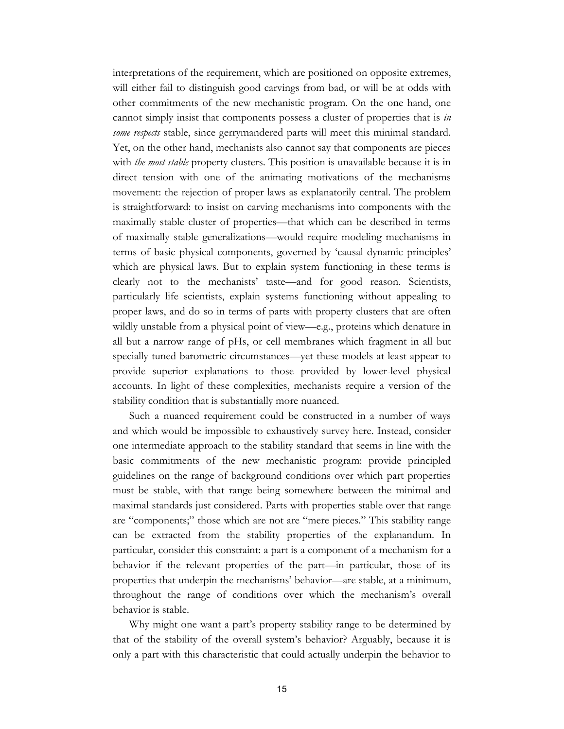interpretations of the requirement, which are positioned on opposite extremes, will either fail to distinguish good carvings from bad, or will be at odds with other commitments of the new mechanistic program. On the one hand, one cannot simply insist that components possess a cluster of properties that is *in some respects* stable, since gerrymandered parts will meet this minimal standard. Yet, on the other hand, mechanists also cannot say that components are pieces with *the most stable* property clusters. This position is unavailable because it is in direct tension with one of the animating motivations of the mechanisms movement: the rejection of proper laws as explanatorily central. The problem is straightforward: to insist on carving mechanisms into components with the maximally stable cluster of properties—that which can be described in terms of maximally stable generalizations—would require modeling mechanisms in terms of basic physical components, governed by 'causal dynamic principles' which are physical laws. But to explain system functioning in these terms is clearly not to the mechanists' taste—and for good reason. Scientists, particularly life scientists, explain systems functioning without appealing to proper laws, and do so in terms of parts with property clusters that are often wildly unstable from a physical point of view—e.g., proteins which denature in all but a narrow range of pHs, or cell membranes which fragment in all but specially tuned barometric circumstances—yet these models at least appear to provide superior explanations to those provided by lower-level physical accounts. In light of these complexities, mechanists require a version of the stability condition that is substantially more nuanced.

Such a nuanced requirement could be constructed in a number of ways and which would be impossible to exhaustively survey here. Instead, consider one intermediate approach to the stability standard that seems in line with the basic commitments of the new mechanistic program: provide principled guidelines on the range of background conditions over which part properties must be stable, with that range being somewhere between the minimal and maximal standards just considered. Parts with properties stable over that range are "components;" those which are not are "mere pieces." This stability range can be extracted from the stability properties of the explanandum. In particular, consider this constraint: a part is a component of a mechanism for a behavior if the relevant properties of the part—in particular, those of its properties that underpin the mechanisms' behavior—are stable, at a minimum, throughout the range of conditions over which the mechanism's overall behavior is stable.

Why might one want a part's property stability range to be determined by that of the stability of the overall system's behavior? Arguably, because it is only a part with this characteristic that could actually underpin the behavior to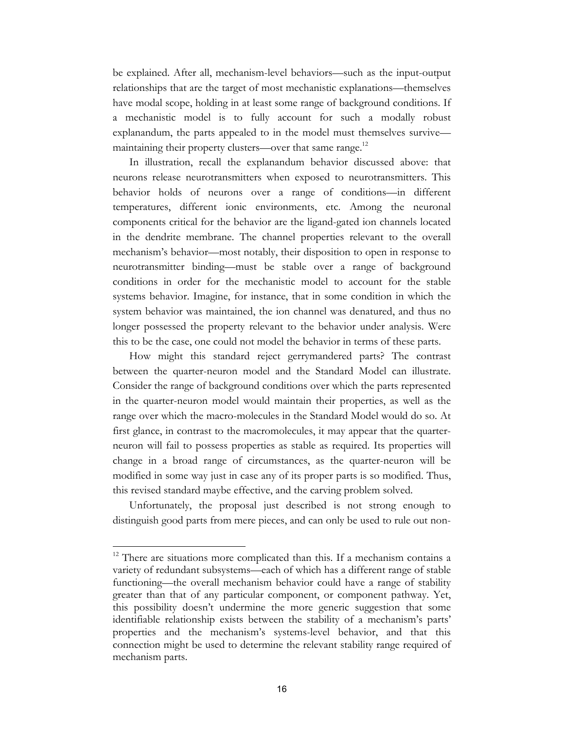be explained. After all, mechanism-level behaviors—such as the input-output relationships that are the target of most mechanistic explanations—themselves have modal scope, holding in at least some range of background conditions. If a mechanistic model is to fully account for such a modally robust explanandum, the parts appealed to in the model must themselves survive maintaining their property clusters—over that same range.<sup>12</sup>

In illustration, recall the explanandum behavior discussed above: that neurons release neurotransmitters when exposed to neurotransmitters. This behavior holds of neurons over a range of conditions—in different temperatures, different ionic environments, etc. Among the neuronal components critical for the behavior are the ligand-gated ion channels located in the dendrite membrane. The channel properties relevant to the overall mechanism's behavior—most notably, their disposition to open in response to neurotransmitter binding—must be stable over a range of background conditions in order for the mechanistic model to account for the stable systems behavior. Imagine, for instance, that in some condition in which the system behavior was maintained, the ion channel was denatured, and thus no longer possessed the property relevant to the behavior under analysis. Were this to be the case, one could not model the behavior in terms of these parts.

How might this standard reject gerrymandered parts? The contrast between the quarter-neuron model and the Standard Model can illustrate. Consider the range of background conditions over which the parts represented in the quarter-neuron model would maintain their properties, as well as the range over which the macro-molecules in the Standard Model would do so. At first glance, in contrast to the macromolecules, it may appear that the quarterneuron will fail to possess properties as stable as required. Its properties will change in a broad range of circumstances, as the quarter-neuron will be modified in some way just in case any of its proper parts is so modified. Thus, this revised standard maybe effective, and the carving problem solved.

Unfortunately, the proposal just described is not strong enough to distinguish good parts from mere pieces, and can only be used to rule out non-

<sup>&</sup>lt;sup>12</sup> There are situations more complicated than this. If a mechanism contains a variety of redundant subsystems—each of which has a different range of stable functioning—the overall mechanism behavior could have a range of stability greater than that of any particular component, or component pathway. Yet, this possibility doesn't undermine the more generic suggestion that some identifiable relationship exists between the stability of a mechanism's parts' properties and the mechanism's systems-level behavior, and that this connection might be used to determine the relevant stability range required of mechanism parts.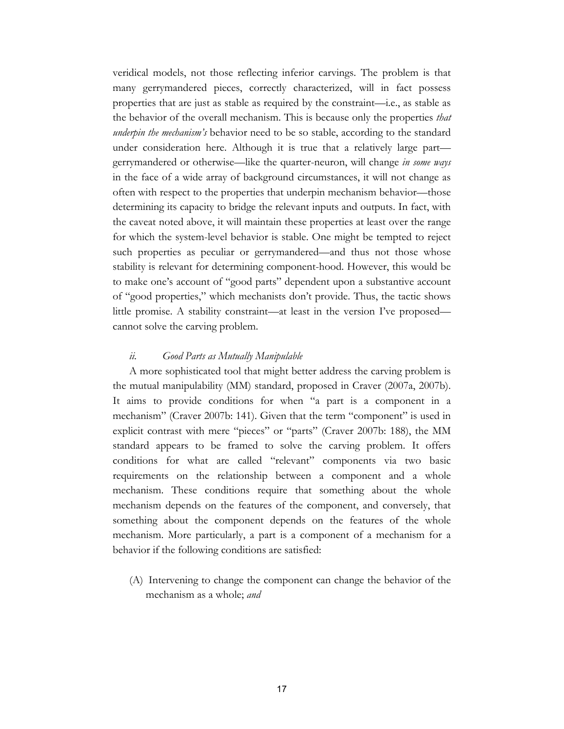veridical models, not those reflecting inferior carvings. The problem is that many gerrymandered pieces, correctly characterized, will in fact possess properties that are just as stable as required by the constraint—i.e., as stable as the behavior of the overall mechanism. This is because only the properties *that underpin the mechanism's* behavior need to be so stable, according to the standard under consideration here. Although it is true that a relatively large part gerrymandered or otherwise—like the quarter-neuron, will change *in some ways* in the face of a wide array of background circumstances, it will not change as often with respect to the properties that underpin mechanism behavior—those determining its capacity to bridge the relevant inputs and outputs. In fact, with the caveat noted above, it will maintain these properties at least over the range for which the system-level behavior is stable. One might be tempted to reject such properties as peculiar or gerrymandered—and thus not those whose stability is relevant for determining component-hood. However, this would be to make one's account of "good parts" dependent upon a substantive account of "good properties," which mechanists don't provide. Thus, the tactic shows little promise. A stability constraint—at least in the version I've proposed cannot solve the carving problem.

## *ii. Good Parts as Mutually Manipulable*

A more sophisticated tool that might better address the carving problem is the mutual manipulability (MM) standard, proposed in Craver (2007a, 2007b). It aims to provide conditions for when "a part is a component in a mechanism" (Craver 2007b: 141). Given that the term "component" is used in explicit contrast with mere "pieces" or "parts" (Craver 2007b: 188), the MM standard appears to be framed to solve the carving problem. It offers conditions for what are called "relevant" components via two basic requirements on the relationship between a component and a whole mechanism. These conditions require that something about the whole mechanism depends on the features of the component, and conversely, that something about the component depends on the features of the whole mechanism. More particularly, a part is a component of a mechanism for a behavior if the following conditions are satisfied:

(A) Intervening to change the component can change the behavior of the mechanism as a whole; *and*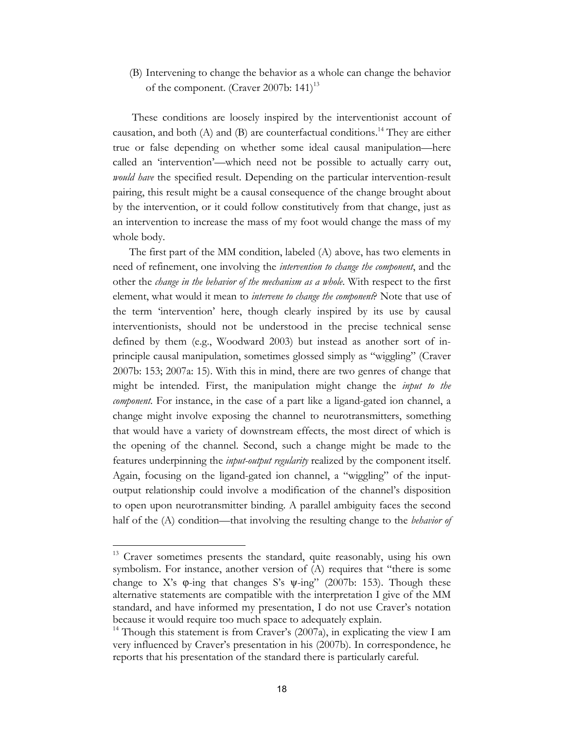(B) Intervening to change the behavior as a whole can change the behavior of the component. (Craver 2007b:  $141$ )<sup>13</sup>

These conditions are loosely inspired by the interventionist account of causation, and both (A) and (B) are counterfactual conditions.<sup>14</sup> They are either true or false depending on whether some ideal causal manipulation—here called an 'intervention'—which need not be possible to actually carry out, *would have* the specified result. Depending on the particular intervention-result pairing, this result might be a causal consequence of the change brought about by the intervention, or it could follow constitutively from that change, just as an intervention to increase the mass of my foot would change the mass of my whole body.

The first part of the MM condition, labeled (A) above, has two elements in need of refinement, one involving the *intervention to change the component*, and the other the *change in the behavior of the mechanism as a whole*. With respect to the first element, what would it mean to *intervene to change the component*? Note that use of the term 'intervention' here, though clearly inspired by its use by causal interventionists, should not be understood in the precise technical sense defined by them (e.g., Woodward 2003) but instead as another sort of inprinciple causal manipulation, sometimes glossed simply as "wiggling" (Craver 2007b: 153; 2007a: 15). With this in mind, there are two genres of change that might be intended. First, the manipulation might change the *input to the component*. For instance, in the case of a part like a ligand-gated ion channel, a change might involve exposing the channel to neurotransmitters, something that would have a variety of downstream effects, the most direct of which is the opening of the channel. Second, such a change might be made to the features underpinning the *input-output regularity* realized by the component itself. Again, focusing on the ligand-gated ion channel, a "wiggling" of the inputoutput relationship could involve a modification of the channel's disposition to open upon neurotransmitter binding. A parallel ambiguity faces the second half of the (A) condition—that involving the resulting change to the *behavior of* 

 

<sup>&</sup>lt;sup>13</sup> Craver sometimes presents the standard, quite reasonably, using his own symbolism. For instance, another version of (A) requires that "there is some change to X's  $\varphi$ -ing that changes S's  $\psi$ -ing" (2007b: 153). Though these alternative statements are compatible with the interpretation I give of the MM standard, and have informed my presentation, I do not use Craver's notation because it would require too much space to adequately explain.

<sup>&</sup>lt;sup>14</sup> Though this statement is from Craver's  $(2007a)$ , in explicating the view I am very influenced by Craver's presentation in his (2007b). In correspondence, he reports that his presentation of the standard there is particularly careful.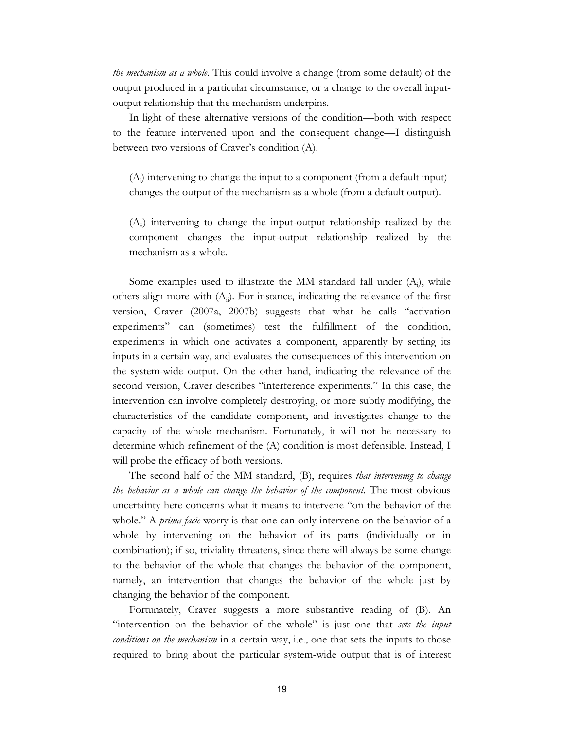*the mechanism as a whole*. This could involve a change (from some default) of the output produced in a particular circumstance, or a change to the overall inputoutput relationship that the mechanism underpins.

In light of these alternative versions of the condition—both with respect to the feature intervened upon and the consequent change—I distinguish between two versions of Craver's condition (A).

(Ai ) intervening to change the input to a component (from a default input) changes the output of the mechanism as a whole (from a default output).

 $(A_{ii})$  intervening to change the input-output relationship realized by the component changes the input-output relationship realized by the mechanism as a whole.

Some examples used to illustrate the MM standard fall under (A<sub>i</sub>), while others align more with  $(A_{ii})$ . For instance, indicating the relevance of the first version, Craver (2007a, 2007b) suggests that what he calls "activation experiments" can (sometimes) test the fulfillment of the condition, experiments in which one activates a component, apparently by setting its inputs in a certain way, and evaluates the consequences of this intervention on the system-wide output. On the other hand, indicating the relevance of the second version, Craver describes "interference experiments." In this case, the intervention can involve completely destroying, or more subtly modifying, the characteristics of the candidate component, and investigates change to the capacity of the whole mechanism. Fortunately, it will not be necessary to determine which refinement of the (A) condition is most defensible. Instead, I will probe the efficacy of both versions.

The second half of the MM standard, (B), requires *that intervening to change the behavior as a whole can change the behavior of the component*. The most obvious uncertainty here concerns what it means to intervene "on the behavior of the whole." A *prima facie* worry is that one can only intervene on the behavior of a whole by intervening on the behavior of its parts (individually or in combination); if so, triviality threatens, since there will always be some change to the behavior of the whole that changes the behavior of the component, namely, an intervention that changes the behavior of the whole just by changing the behavior of the component.

Fortunately, Craver suggests a more substantive reading of (B). An "intervention on the behavior of the whole" is just one that *sets the input conditions on the mechanism* in a certain way, i.e., one that sets the inputs to those required to bring about the particular system-wide output that is of interest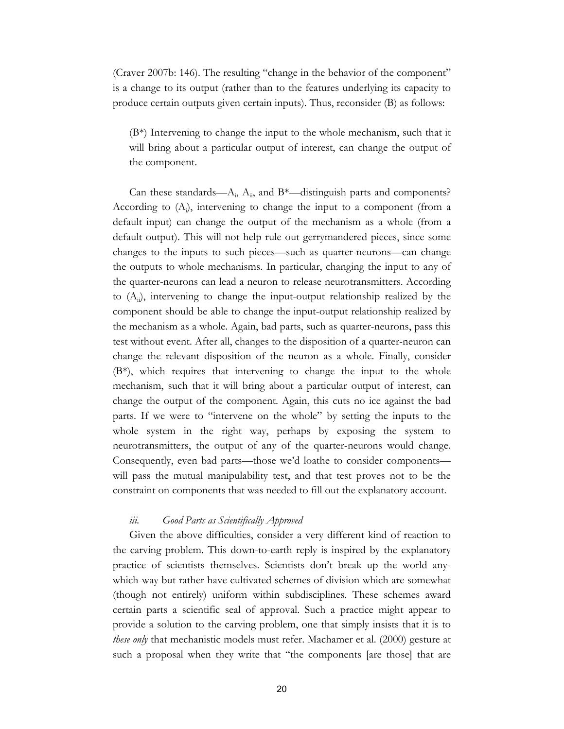(Craver 2007b: 146). The resulting "change in the behavior of the component" is a change to its output (rather than to the features underlying its capacity to produce certain outputs given certain inputs). Thus, reconsider (B) as follows:

(B\*) Intervening to change the input to the whole mechanism, such that it will bring about a particular output of interest, can change the output of the component.

Can these standards— $A_i$ ,  $A_{ii}$ , and B\*—distinguish parts and components? According to (A<sub>i</sub>), intervening to change the input to a component (from a default input) can change the output of the mechanism as a whole (from a default output). This will not help rule out gerrymandered pieces, since some changes to the inputs to such pieces—such as quarter-neurons—can change the outputs to whole mechanisms. In particular, changing the input to any of the quarter-neurons can lead a neuron to release neurotransmitters. According to  $(A_{ii})$ , intervening to change the input-output relationship realized by the component should be able to change the input-output relationship realized by the mechanism as a whole. Again, bad parts, such as quarter-neurons, pass this test without event. After all, changes to the disposition of a quarter-neuron can change the relevant disposition of the neuron as a whole. Finally, consider (B\*), which requires that intervening to change the input to the whole mechanism, such that it will bring about a particular output of interest, can change the output of the component. Again, this cuts no ice against the bad parts. If we were to "intervene on the whole" by setting the inputs to the whole system in the right way, perhaps by exposing the system to neurotransmitters, the output of any of the quarter-neurons would change. Consequently, even bad parts—those we'd loathe to consider components will pass the mutual manipulability test, and that test proves not to be the constraint on components that was needed to fill out the explanatory account.

## *iii. Good Parts as Scientifically Approved*

Given the above difficulties, consider a very different kind of reaction to the carving problem. This down-to-earth reply is inspired by the explanatory practice of scientists themselves. Scientists don't break up the world anywhich-way but rather have cultivated schemes of division which are somewhat (though not entirely) uniform within subdisciplines. These schemes award certain parts a scientific seal of approval. Such a practice might appear to provide a solution to the carving problem, one that simply insists that it is to *these only* that mechanistic models must refer. Machamer et al. (2000) gesture at such a proposal when they write that "the components [are those] that are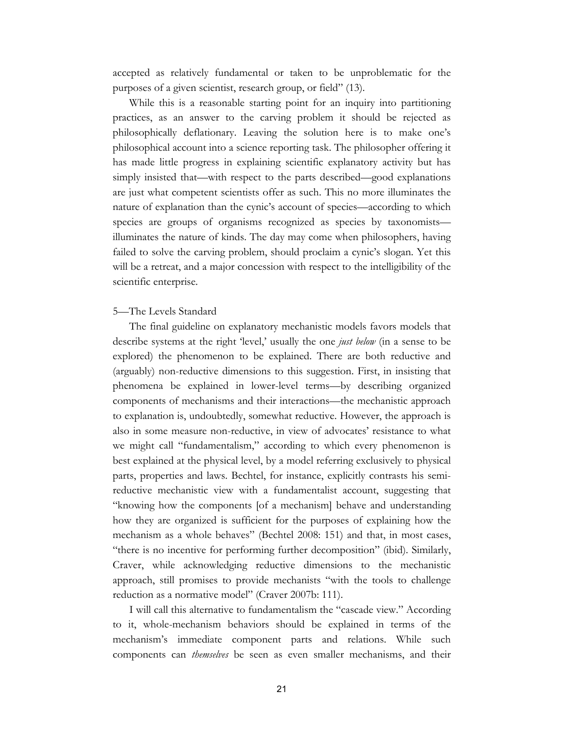accepted as relatively fundamental or taken to be unproblematic for the purposes of a given scientist, research group, or field" (13).

While this is a reasonable starting point for an inquiry into partitioning practices, as an answer to the carving problem it should be rejected as philosophically deflationary. Leaving the solution here is to make one's philosophical account into a science reporting task. The philosopher offering it has made little progress in explaining scientific explanatory activity but has simply insisted that—with respect to the parts described—good explanations are just what competent scientists offer as such. This no more illuminates the nature of explanation than the cynic's account of species—according to which species are groups of organisms recognized as species by taxonomists illuminates the nature of kinds. The day may come when philosophers, having failed to solve the carving problem, should proclaim a cynic's slogan. Yet this will be a retreat, and a major concession with respect to the intelligibility of the scientific enterprise.

### 5—The Levels Standard

The final guideline on explanatory mechanistic models favors models that describe systems at the right 'level,' usually the one *just below* (in a sense to be explored) the phenomenon to be explained. There are both reductive and (arguably) non-reductive dimensions to this suggestion. First, in insisting that phenomena be explained in lower-level terms—by describing organized components of mechanisms and their interactions—the mechanistic approach to explanation is, undoubtedly, somewhat reductive. However, the approach is also in some measure non-reductive, in view of advocates' resistance to what we might call "fundamentalism," according to which every phenomenon is best explained at the physical level, by a model referring exclusively to physical parts, properties and laws. Bechtel, for instance, explicitly contrasts his semireductive mechanistic view with a fundamentalist account, suggesting that "knowing how the components [of a mechanism] behave and understanding how they are organized is sufficient for the purposes of explaining how the mechanism as a whole behaves" (Bechtel 2008: 151) and that, in most cases, "there is no incentive for performing further decomposition" (ibid). Similarly, Craver, while acknowledging reductive dimensions to the mechanistic approach, still promises to provide mechanists "with the tools to challenge reduction as a normative model" (Craver 2007b: 111).

I will call this alternative to fundamentalism the "cascade view." According to it, whole-mechanism behaviors should be explained in terms of the mechanism's immediate component parts and relations. While such components can *themselves* be seen as even smaller mechanisms, and their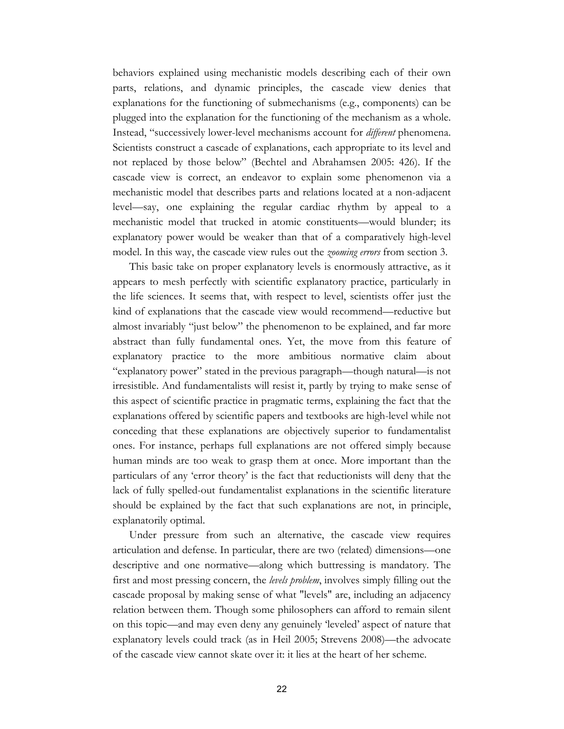behaviors explained using mechanistic models describing each of their own parts, relations, and dynamic principles, the cascade view denies that explanations for the functioning of submechanisms (e.g., components) can be plugged into the explanation for the functioning of the mechanism as a whole. Instead, "successively lower-level mechanisms account for *different* phenomena. Scientists construct a cascade of explanations, each appropriate to its level and not replaced by those below" (Bechtel and Abrahamsen 2005: 426). If the cascade view is correct, an endeavor to explain some phenomenon via a mechanistic model that describes parts and relations located at a non-adjacent level—say, one explaining the regular cardiac rhythm by appeal to a mechanistic model that trucked in atomic constituents—would blunder; its explanatory power would be weaker than that of a comparatively high-level model. In this way, the cascade view rules out the *zooming errors* from section 3.

This basic take on proper explanatory levels is enormously attractive, as it appears to mesh perfectly with scientific explanatory practice, particularly in the life sciences. It seems that, with respect to level, scientists offer just the kind of explanations that the cascade view would recommend—reductive but almost invariably "just below" the phenomenon to be explained, and far more abstract than fully fundamental ones. Yet, the move from this feature of explanatory practice to the more ambitious normative claim about "explanatory power" stated in the previous paragraph—though natural—is not irresistible. And fundamentalists will resist it, partly by trying to make sense of this aspect of scientific practice in pragmatic terms, explaining the fact that the explanations offered by scientific papers and textbooks are high-level while not conceding that these explanations are objectively superior to fundamentalist ones. For instance, perhaps full explanations are not offered simply because human minds are too weak to grasp them at once. More important than the particulars of any 'error theory' is the fact that reductionists will deny that the lack of fully spelled-out fundamentalist explanations in the scientific literature should be explained by the fact that such explanations are not, in principle, explanatorily optimal.

Under pressure from such an alternative, the cascade view requires articulation and defense. In particular, there are two (related) dimensions—one descriptive and one normative—along which buttressing is mandatory. The first and most pressing concern, the *levels problem*, involves simply filling out the cascade proposal by making sense of what "levels" are, including an adjacency relation between them. Though some philosophers can afford to remain silent on this topic—and may even deny any genuinely 'leveled' aspect of nature that explanatory levels could track (as in Heil 2005; Strevens 2008)—the advocate of the cascade view cannot skate over it: it lies at the heart of her scheme.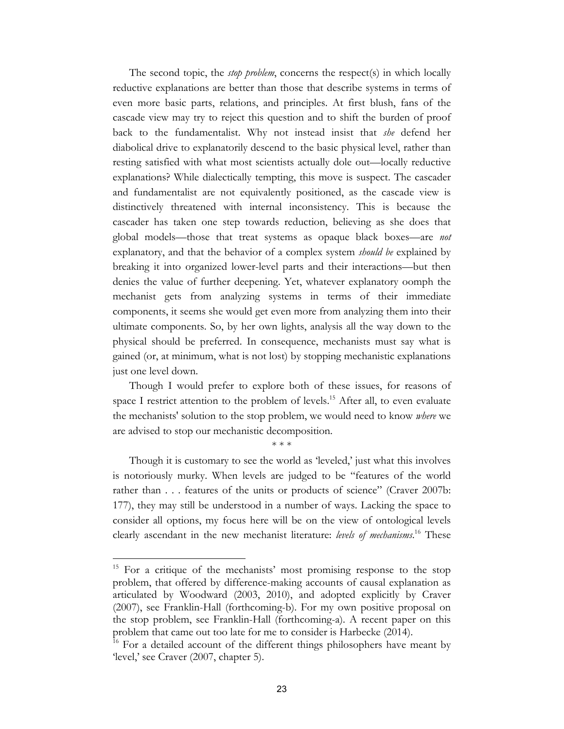The second topic, the *stop problem*, concerns the respect(s) in which locally reductive explanations are better than those that describe systems in terms of even more basic parts, relations, and principles. At first blush, fans of the cascade view may try to reject this question and to shift the burden of proof back to the fundamentalist. Why not instead insist that *she* defend her diabolical drive to explanatorily descend to the basic physical level, rather than resting satisfied with what most scientists actually dole out—locally reductive explanations? While dialectically tempting, this move is suspect. The cascader and fundamentalist are not equivalently positioned, as the cascade view is distinctively threatened with internal inconsistency. This is because the cascader has taken one step towards reduction, believing as she does that global models—those that treat systems as opaque black boxes—are *not* explanatory, and that the behavior of a complex system *should be* explained by breaking it into organized lower-level parts and their interactions—but then denies the value of further deepening. Yet, whatever explanatory oomph the mechanist gets from analyzing systems in terms of their immediate components, it seems she would get even more from analyzing them into their ultimate components. So, by her own lights, analysis all the way down to the physical should be preferred. In consequence, mechanists must say what is gained (or, at minimum, what is not lost) by stopping mechanistic explanations just one level down.

Though I would prefer to explore both of these issues, for reasons of space I restrict attention to the problem of levels.<sup>15</sup> After all, to even evaluate the mechanists' solution to the stop problem, we would need to know *where* we are advised to stop our mechanistic decomposition.

\* \* \*

Though it is customary to see the world as 'leveled,' just what this involves is notoriously murky. When levels are judged to be "features of the world rather than . . . features of the units or products of science" (Craver 2007b: 177), they may still be understood in a number of ways. Lacking the space to consider all options, my focus here will be on the view of ontological levels clearly ascendant in the new mechanist literature: *levels of mechanisms*. <sup>16</sup> These

<sup>&</sup>lt;sup>15</sup> For a critique of the mechanists' most promising response to the stop problem, that offered by difference-making accounts of causal explanation as articulated by Woodward (2003, 2010), and adopted explicitly by Craver (2007), see Franklin-Hall (forthcoming-b). For my own positive proposal on the stop problem, see Franklin-Hall (forthcoming-a). A recent paper on this problem that came out too late for me to consider is Harbecke (2014).

 $16$  For a detailed account of the different things philosophers have meant by 'level,' see Craver (2007, chapter 5).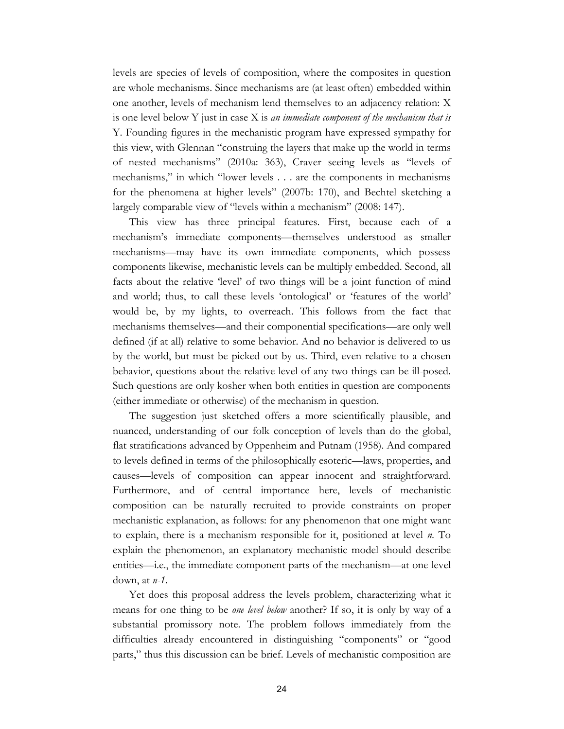levels are species of levels of composition, where the composites in question are whole mechanisms. Since mechanisms are (at least often) embedded within one another, levels of mechanism lend themselves to an adjacency relation: X is one level below Y just in case X is *an immediate component of the mechanism that is* Y. Founding figures in the mechanistic program have expressed sympathy for this view, with Glennan "construing the layers that make up the world in terms of nested mechanisms" (2010a: 363), Craver seeing levels as "levels of mechanisms," in which "lower levels . . . are the components in mechanisms for the phenomena at higher levels" (2007b: 170), and Bechtel sketching a largely comparable view of "levels within a mechanism" (2008: 147).

This view has three principal features. First, because each of a mechanism's immediate components—themselves understood as smaller mechanisms—may have its own immediate components, which possess components likewise, mechanistic levels can be multiply embedded. Second, all facts about the relative 'level' of two things will be a joint function of mind and world; thus, to call these levels 'ontological' or 'features of the world' would be, by my lights, to overreach. This follows from the fact that mechanisms themselves—and their componential specifications—are only well defined (if at all) relative to some behavior. And no behavior is delivered to us by the world, but must be picked out by us. Third, even relative to a chosen behavior, questions about the relative level of any two things can be ill-posed. Such questions are only kosher when both entities in question are components (either immediate or otherwise) of the mechanism in question.

The suggestion just sketched offers a more scientifically plausible, and nuanced, understanding of our folk conception of levels than do the global, flat stratifications advanced by Oppenheim and Putnam (1958). And compared to levels defined in terms of the philosophically esoteric—laws, properties, and causes—levels of composition can appear innocent and straightforward. Furthermore, and of central importance here, levels of mechanistic composition can be naturally recruited to provide constraints on proper mechanistic explanation, as follows: for any phenomenon that one might want to explain, there is a mechanism responsible for it, positioned at level *n*. To explain the phenomenon, an explanatory mechanistic model should describe entities—i.e., the immediate component parts of the mechanism—at one level down, at *n-1*.

Yet does this proposal address the levels problem, characterizing what it means for one thing to be *one level below* another? If so, it is only by way of a substantial promissory note. The problem follows immediately from the difficulties already encountered in distinguishing "components" or "good parts," thus this discussion can be brief. Levels of mechanistic composition are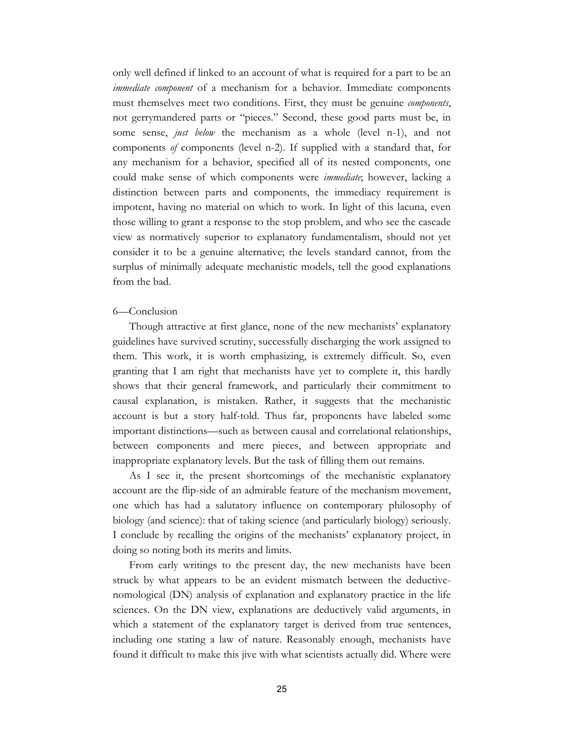only well defined if linked to an account of what is required for a part to be an *immediate component* of a mechanism for a behavior. Immediate components must themselves meet two conditions. First, they must be genuine *components*, not gerrymandered parts or "pieces." Second, these good parts must be, in some sense, *just below* the mechanism as a whole (level n-1), and not components *of* components (level n-2). If supplied with a standard that, for any mechanism for a behavior, specified all of its nested components, one could make sense of which components were *immediate*; however, lacking a distinction between parts and components, the immediacy requirement is impotent, having no material on which to work. In light of this lacuna, even those willing to grant a response to the stop problem, and who see the cascade view as normatively superior to explanatory fundamentalism, should not yet consider it to be a genuine alternative; the levels standard cannot, from the surplus of minimally adequate mechanistic models, tell the good explanations from the bad.

### 6—Conclusion

Though attractive at first glance, none of the new mechanists' explanatory guidelines have survived scrutiny, successfully discharging the work assigned to them. This work, it is worth emphasizing, is extremely difficult. So, even granting that I am right that mechanists have yet to complete it, this hardly shows that their general framework, and particularly their commitment to causal explanation, is mistaken. Rather, it suggests that the mechanistic account is but a story half-told. Thus far, proponents have labeled some important distinctions—such as between causal and correlational relationships, between components and mere pieces, and between appropriate and inappropriate explanatory levels. But the task of filling them out remains.

As I see it, the present shortcomings of the mechanistic explanatory account are the flip-side of an admirable feature of the mechanism movement, one which has had a salutatory influence on contemporary philosophy of biology (and science): that of taking science (and particularly biology) seriously. I conclude by recalling the origins of the mechanists' explanatory project, in doing so noting both its merits and limits.

From early writings to the present day, the new mechanists have been struck by what appears to be an evident mismatch between the deductivenomological (DN) analysis of explanation and explanatory practice in the life sciences. On the DN view, explanations are deductively valid arguments, in which a statement of the explanatory target is derived from true sentences, including one stating a law of nature. Reasonably enough, mechanists have found it difficult to make this jive with what scientists actually did. Where were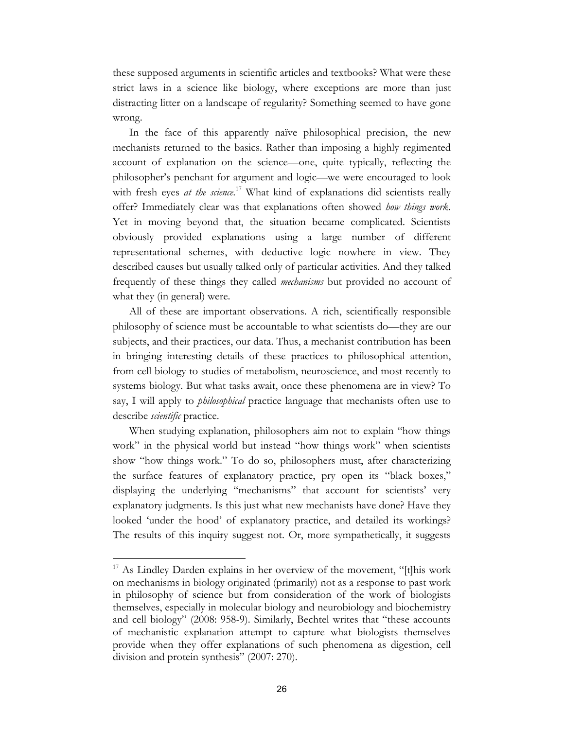these supposed arguments in scientific articles and textbooks? What were these strict laws in a science like biology, where exceptions are more than just distracting litter on a landscape of regularity? Something seemed to have gone wrong.

In the face of this apparently naïve philosophical precision, the new mechanists returned to the basics. Rather than imposing a highly regimented account of explanation on the science—one, quite typically, reflecting the philosopher's penchant for argument and logic—we were encouraged to look with fresh eyes *at the science*. <sup>17</sup> What kind of explanations did scientists really offer? Immediately clear was that explanations often showed *how things work*. Yet in moving beyond that, the situation became complicated. Scientists obviously provided explanations using a large number of different representational schemes, with deductive logic nowhere in view. They described causes but usually talked only of particular activities. And they talked frequently of these things they called *mechanisms* but provided no account of what they (in general) were.

All of these are important observations. A rich, scientifically responsible philosophy of science must be accountable to what scientists do—they are our subjects, and their practices, our data. Thus, a mechanist contribution has been in bringing interesting details of these practices to philosophical attention, from cell biology to studies of metabolism, neuroscience, and most recently to systems biology. But what tasks await, once these phenomena are in view? To say, I will apply to *philosophical* practice language that mechanists often use to describe *scientific* practice.

When studying explanation, philosophers aim not to explain "how things work" in the physical world but instead "how things work" when scientists show "how things work." To do so, philosophers must, after characterizing the surface features of explanatory practice, pry open its "black boxes," displaying the underlying "mechanisms" that account for scientists' very explanatory judgments. Is this just what new mechanists have done? Have they looked 'under the hood' of explanatory practice, and detailed its workings? The results of this inquiry suggest not. Or, more sympathetically, it suggests

 $17$  As Lindley Darden explains in her overview of the movement, "[t]his work on mechanisms in biology originated (primarily) not as a response to past work in philosophy of science but from consideration of the work of biologists themselves, especially in molecular biology and neurobiology and biochemistry and cell biology" (2008: 958-9). Similarly, Bechtel writes that "these accounts of mechanistic explanation attempt to capture what biologists themselves provide when they offer explanations of such phenomena as digestion, cell division and protein synthesis" (2007: 270).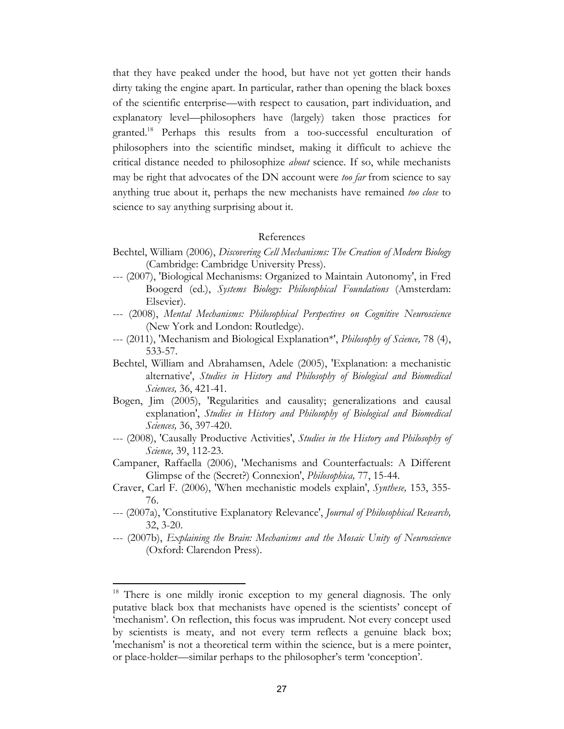that they have peaked under the hood, but have not yet gotten their hands dirty taking the engine apart. In particular, rather than opening the black boxes of the scientific enterprise—with respect to causation, part individuation, and explanatory level—philosophers have (largely) taken those practices for granted. <sup>18</sup> Perhaps this results from a too-successful enculturation of philosophers into the scientific mindset, making it difficult to achieve the critical distance needed to philosophize *about* science. If so, while mechanists may be right that advocates of the DN account were *too far* from science to say anything true about it, perhaps the new mechanists have remained *too close* to science to say anything surprising about it.

## References

- Bechtel, William (2006), *Discovering Cell Mechanisms: The Creation of Modern Biology* (Cambridge: Cambridge University Press).
- --- (2007), 'Biological Mechanisms: Organized to Maintain Autonomy', in Fred Boogerd (ed.), *Systems Biology: Philosophical Foundations* (Amsterdam: Elsevier).
- --- (2008), *Mental Mechanisms: Philosophical Perspectives on Cognitive Neuroscience* (New York and London: Routledge).
- --- (2011), 'Mechanism and Biological Explanation\*', *Philosophy of Science,* 78 (4), 533-57.
- Bechtel, William and Abrahamsen, Adele (2005), 'Explanation: a mechanistic alternative', *Studies in History and Philosophy of Biological and Biomedical Sciences,* 36, 421-41.
- Bogen, Jim (2005), 'Regularities and causality; generalizations and causal explanation', *Studies in History and Philosophy of Biological and Biomedical Sciences,* 36, 397-420.
- --- (2008), 'Causally Productive Activities', *Studies in the History and Philosophy of Science,* 39, 112-23.
- Campaner, Raffaella (2006), 'Mechanisms and Counterfactuals: A Different Glimpse of the (Secret?) Connexion', *Philosophica,* 77, 15-44.
- Craver, Carl F. (2006), 'When mechanistic models explain', *Synthese,* 153, 355- 76.
- --- (2007a), 'Constitutive Explanatory Relevance', *Journal of Philosophical Research,* 32, 3-20.
- --- (2007b), *Explaining the Brain: Mechanisms and the Mosaic Unity of Neuroscience* (Oxford: Clarendon Press).

<sup>&</sup>lt;sup>18</sup> There is one mildly ironic exception to my general diagnosis. The only putative black box that mechanists have opened is the scientists' concept of 'mechanism'. On reflection, this focus was imprudent. Not every concept used by scientists is meaty, and not every term reflects a genuine black box; 'mechanism' is not a theoretical term within the science, but is a mere pointer, or place-holder—similar perhaps to the philosopher's term 'conception'.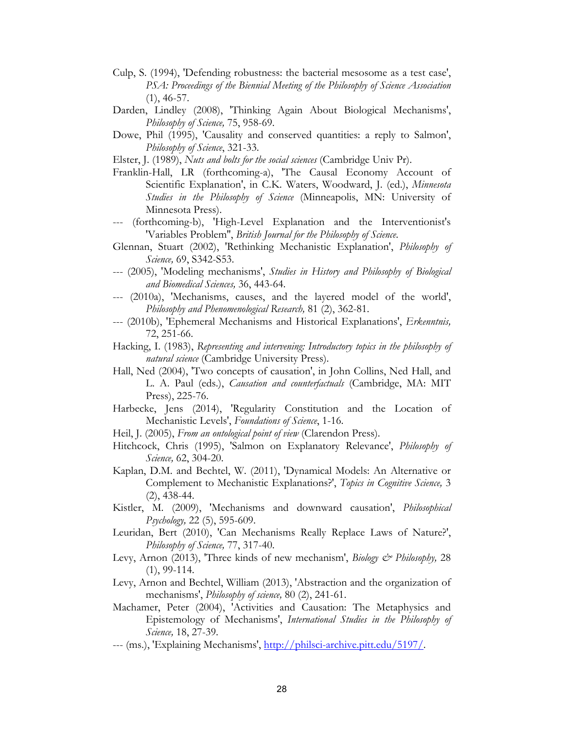- Culp, S. (1994), 'Defending robustness: the bacterial mesosome as a test case', *PSA: Proceedings of the Biennial Meeting of the Philosophy of Science Association*  $(1), 46-57.$
- Darden, Lindley (2008), 'Thinking Again About Biological Mechanisms', *Philosophy of Science,* 75, 958-69.
- Dowe, Phil (1995), 'Causality and conserved quantities: a reply to Salmon', *Philosophy of Science*, 321-33.
- Elster, J. (1989), *Nuts and bolts for the social sciences* (Cambridge Univ Pr).
- Franklin-Hall, LR (forthcoming-a), 'The Causal Economy Account of Scientific Explanation', in C.K. Waters, Woodward, J. (ed.), *Minnesota Studies in the Philosophy of Science* (Minneapolis, MN: University of Minnesota Press).
- --- (forthcoming-b), 'High-Level Explanation and the Interventionist's 'Variables Problem'', *British Journal for the Philosophy of Science*.
- Glennan, Stuart (2002), 'Rethinking Mechanistic Explanation', *Philosophy of Science,* 69, S342-S53.
- --- (2005), 'Modeling mechanisms', *Studies in History and Philosophy of Biological and Biomedical Sciences,* 36, 443-64.
- --- (2010a), 'Mechanisms, causes, and the layered model of the world', *Philosophy and Phenomenological Research,* 81 (2), 362-81.
- --- (2010b), 'Ephemeral Mechanisms and Historical Explanations', *Erkenntnis,* 72, 251-66.
- Hacking, I. (1983), *Representing and intervening: Introductory topics in the philosophy of natural science* (Cambridge University Press).
- Hall, Ned (2004), 'Two concepts of causation', in John Collins, Ned Hall, and L. A. Paul (eds.), *Causation and counterfactuals* (Cambridge, MA: MIT Press), 225-76.
- Harbecke, Jens (2014), 'Regularity Constitution and the Location of Mechanistic Levels', *Foundations of Science*, 1-16.
- Heil, J. (2005), *From an ontological point of view* (Clarendon Press).
- Hitchcock, Chris (1995), 'Salmon on Explanatory Relevance', *Philosophy of Science,* 62, 304-20.
- Kaplan, D.M. and Bechtel, W. (2011), 'Dynamical Models: An Alternative or Complement to Mechanistic Explanations?', *Topics in Cognitive Science,* 3 (2), 438-44.
- Kistler, M. (2009), 'Mechanisms and downward causation', *Philosophical Psychology,* 22 (5), 595-609.
- Leuridan, Bert (2010), 'Can Mechanisms Really Replace Laws of Nature?', *Philosophy of Science,* 77, 317-40.
- Levy, Arnon (2013), 'Three kinds of new mechanism', *Biology & Philosophy*, 28 (1), 99-114.
- Levy, Arnon and Bechtel, William (2013), 'Abstraction and the organization of mechanisms', *Philosophy of science,* 80 (2), 241-61.
- Machamer, Peter (2004), 'Activities and Causation: The Metaphysics and Epistemology of Mechanisms', *International Studies in the Philosophy of Science,* 18, 27-39.
- --- (ms.), 'Explaining Mechanisms', http://philsci-archive.pitt.edu/5197/.